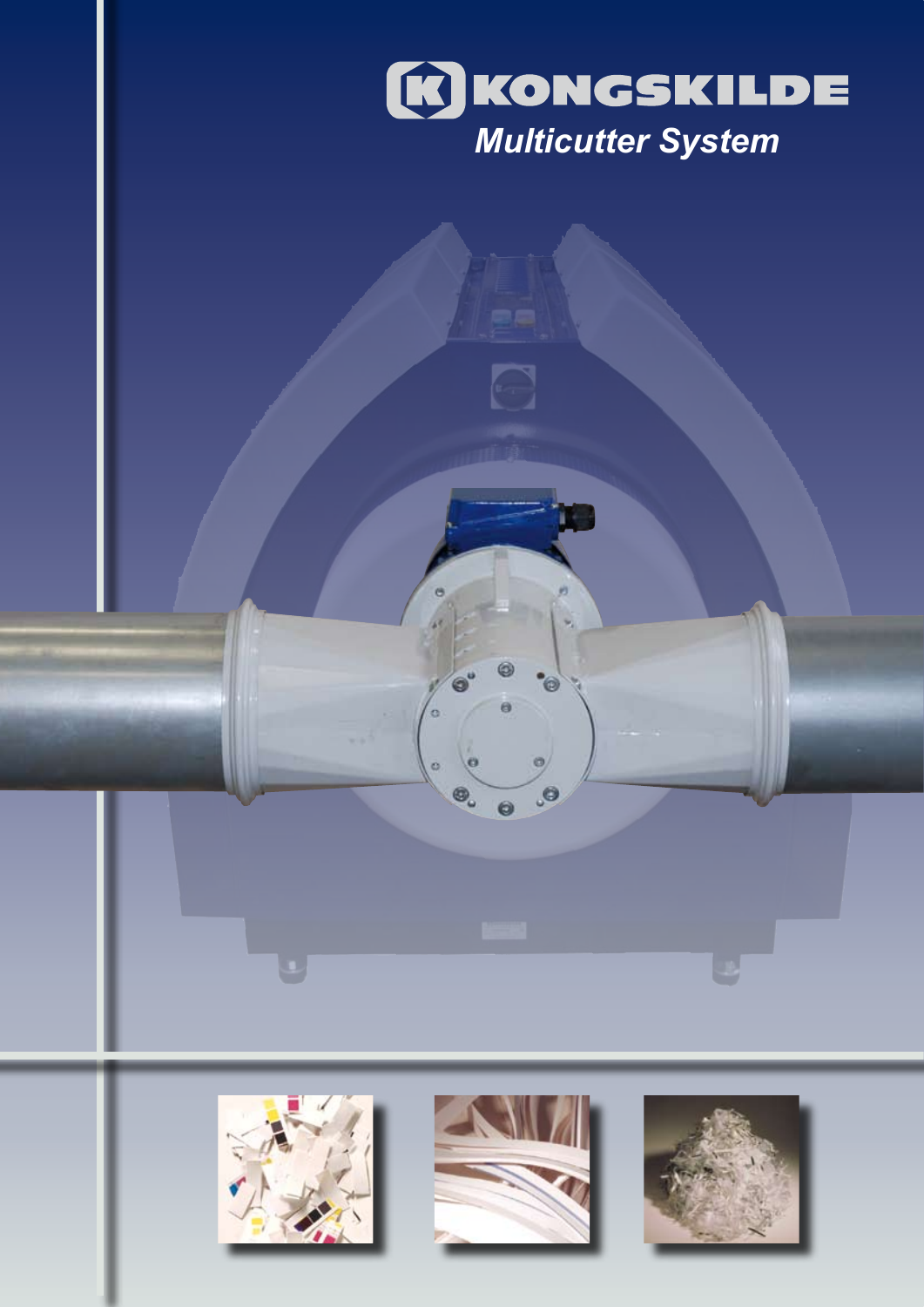

 $\Box$ 

G

ö

 $\bullet$ 

 $\ddot{\circ}$ 

 $\circledcirc_{\circ}$ 

 $\bullet$ 





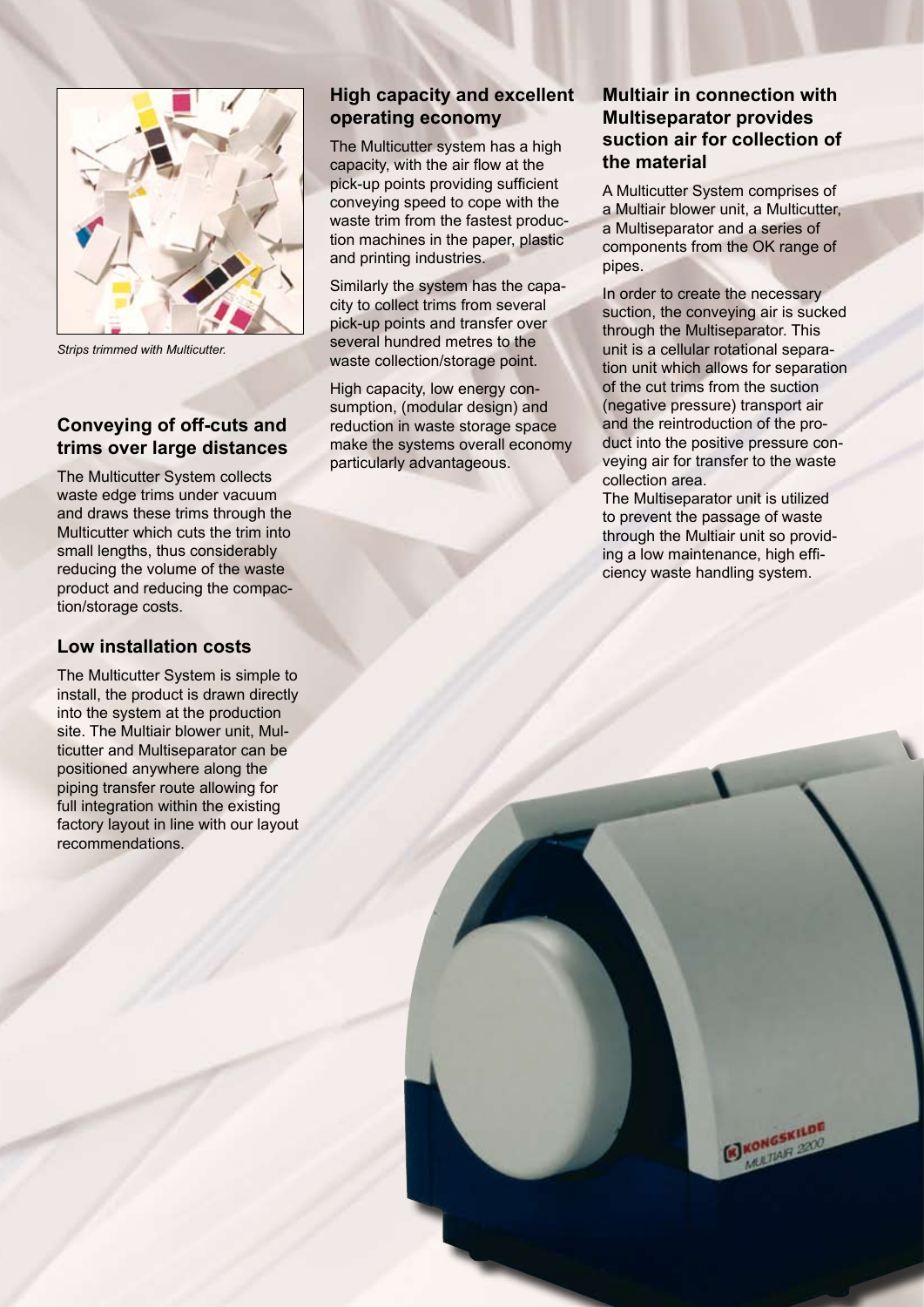![](_page_1_Figure_0.jpeg)

*Strips trimmed with Multicutter.*

## **Conveying of off-cuts and trims over large distances**

The Multicutter System collects waste edge trims under vacuum and draws these trims through the Multicutter which cuts the trim into small lengths, thus considerably reducing the volume of the waste product and reducing the compaction/storage costs.

### **Low installation costs**

The Multicutter System is simple to install, the product is drawn directly into the system at the production site. The Multiair blower unit, Multicutter and Multiseparator can be positioned anywhere along the piping transfer route allowing for full integration within the existing factory layout in line with our layout recommendations.

# **High capacity and excellent operating economy**

The Multicutter system has a high capacity, with the air flow at the pick-up points providing sufficient conveying speed to cope with the waste trim from the fastest production machines in the paper, plastic and printing industries.

Similarly the system has the capacity to collect trims from several pick-up points and transfer over several hundred metres to the waste collection/storage point.

High capacity, low energy consumption, (modular design) and reduction in waste storage space make the systems overall economy particularly advantageous.

# **Multiair in connection with Multiseparator provides suction air for collection of the material**

A Multicutter System comprises of a Multiair blower unit, a Multicutter, a Multiseparator and a series of components from the OK range of pipes.

In order to create the necessary suction, the conveying air is sucked through the Multiseparator. This unit is a cellular rotational separation unit which allows for separation of the cut trims from the suction (negative pressure) transport air and the reintroduction of the product into the positive pressure conveying air for transfer to the waste collection area.

The Multiseparator unit is utilized to prevent the passage of waste through the Multiair unit so providing a low maintenance, high efficiency waste handling system.

> KONGSKILDE **KON**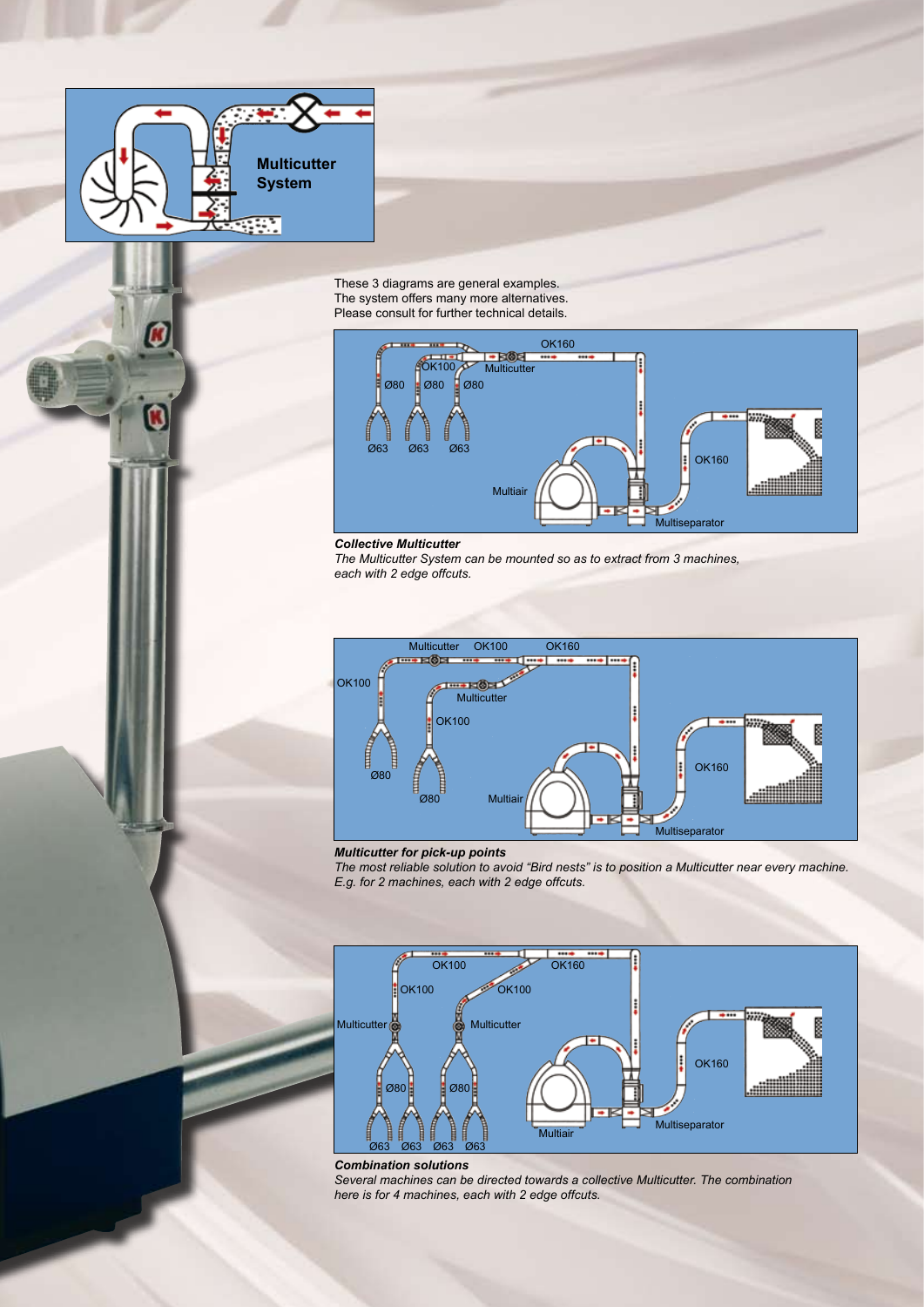![](_page_2_Picture_0.jpeg)

These 3 diagrams are general examples. The system offers many more alternatives. Please consult for further technical details.

![](_page_2_Figure_2.jpeg)

*Collective Multicutter*

*The Multicutter System can be mounted so as to extract from 3 machines, each with 2 edge offcuts.*

![](_page_2_Figure_5.jpeg)

*Multicutter for pick-up points*

*The most reliable solution to avoid "Bird nests" is to position a Multicutter near every machine. E.g. for 2 machines, each with 2 edge offcuts.*

![](_page_2_Figure_8.jpeg)

![](_page_2_Figure_9.jpeg)